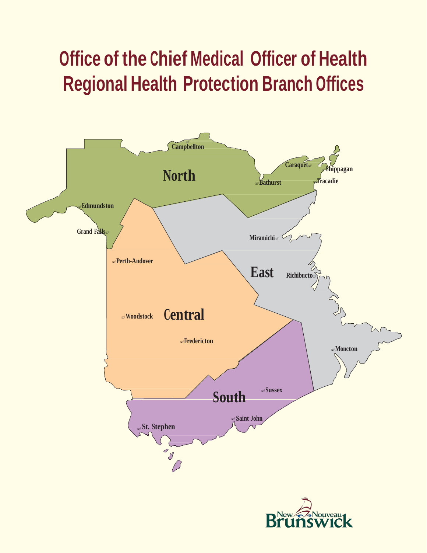# **Office of the Chief Medical Officer of Health Regional Health Protection Branch Offices**